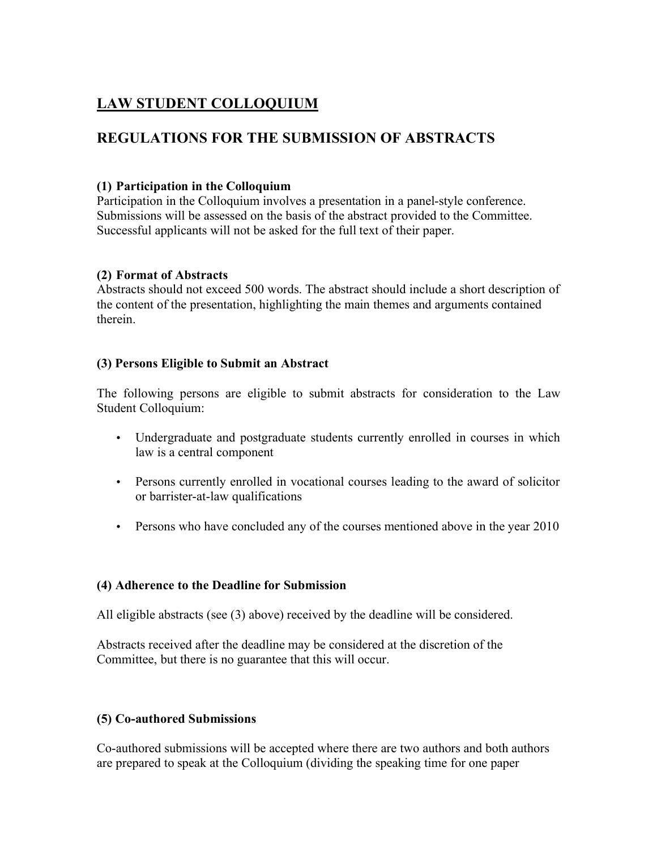# **LAW STUDENT COLLOQUIUM**

## **REGULATIONS FOR THE SUBMISSION OF ABSTRACTS**

#### **(1) Participation in the Colloquium**

Participation in the Colloquium involves a presentation in a panel-style conference. Submissions will be assessed on the basis of the abstract provided to the Committee. Successful applicants will not be asked for the full text of their paper.

#### **(2) Format of Abstracts**

Abstracts should not exceed 500 words. The abstract should include a short description of the content of the presentation, highlighting the main themes and arguments contained therein.

#### **(3) Persons Eligible to Submit an Abstract**

The following persons are eligible to submit abstracts for consideration to the Law Student Colloquium:

- Undergraduate and postgraduate students currently enrolled in courses in which law is a central component
- Persons currently enrolled in vocational courses leading to the award of solicitor or barrister-at-law qualifications
- Persons who have concluded any of the courses mentioned above in the year 2010

#### **(4) Adherence to the Deadline for Submission**

All eligible abstracts (see (3) above) received by the deadline will be considered.

Abstracts received after the deadline may be considered at the discretion of the Committee, but there is no guarantee that this will occur.

#### **(5) Co-authored Submissions**

Co-authored submissions will be accepted where there are two authors and both authors are prepared to speak at the Colloquium (dividing the speaking time for one paper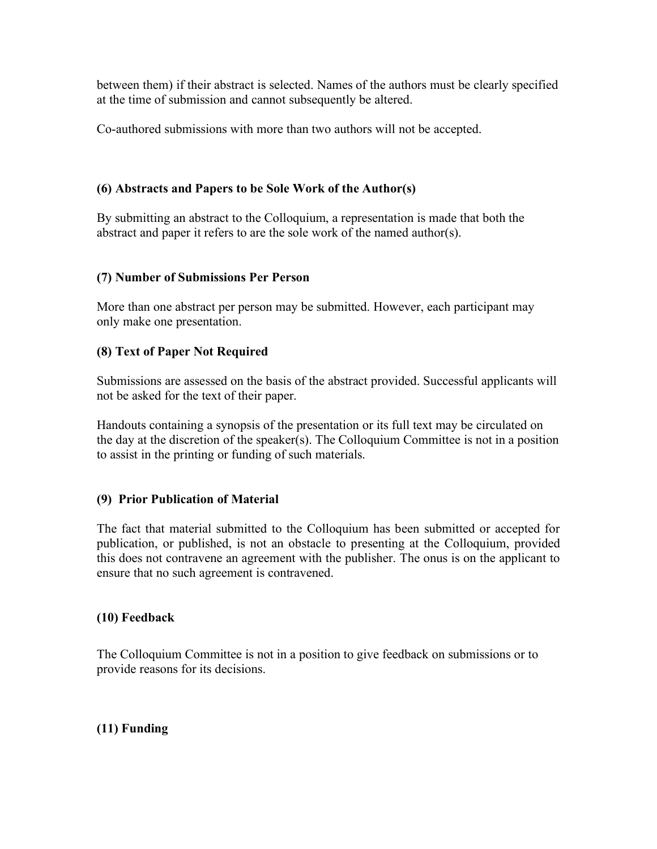between them) if their abstract is selected. Names of the authors must be clearly specified at the time of submission and cannot subsequently be altered.

Co-authored submissions with more than two authors will not be accepted.

#### **(6) Abstracts and Papers to be Sole Work of the Author(s)**

By submitting an abstract to the Colloquium, a representation is made that both the abstract and paper it refers to are the sole work of the named author(s).

#### **(7) Number of Submissions Per Person**

More than one abstract per person may be submitted. However, each participant may only make one presentation.

#### **(8) Text of Paper Not Required**

Submissions are assessed on the basis of the abstract provided. Successful applicants will not be asked for the text of their paper.

Handouts containing a synopsis of the presentation or its full text may be circulated on the day at the discretion of the speaker(s). The Colloquium Committee is not in a position to assist in the printing or funding of such materials.

## **(9) Prior Publication of Material**

The fact that material submitted to the Colloquium has been submitted or accepted for publication, or published, is not an obstacle to presenting at the Colloquium, provided this does not contravene an agreement with the publisher. The onus is on the applicant to ensure that no such agreement is contravened.

#### **(10) Feedback**

The Colloquium Committee is not in a position to give feedback on submissions or to provide reasons for its decisions.

## **(11) Funding**